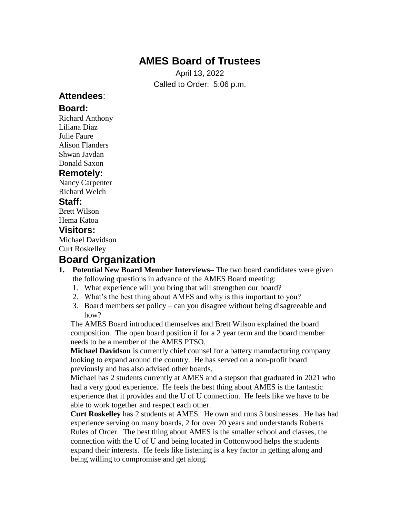# **AMES Board of Trustees**

April 13, 2022 Called to Order: 5:06 p.m.

## **Attendees**:

### **Board:**

Richard Anthony Liliana Diaz Julie Faure Alison Flanders Shwan Javdan Donald Saxon

### **Remotely:**

Nancy Carpenter Richard Welch **Staff:**

Brett Wilson Hema Katoa

#### **Visitors:**

Michael Davidson Curt Roskelley

# **Board Organization**

- **1. Potential New Board Member Interviews–** The two board candidates were given the following questions in advance of the AMES Board meeting:
	- 1. What experience will you bring that will strengthen our board?
	- 2. What's the best thing about AMES and why is this important to you?
	- 3. Board members set policy can you disagree without being disagreeable and how?

 The AMES Board introduced themselves and Brett Wilson explained the board composition. The open board position if for a 2 year term and the board member needs to be a member of the AMES PTSO.

 **Michael Davidson** is currently chief counsel for a battery manufacturing company looking to expand around the country. He has served on a non-profit board previously and has also advised other boards.

 Michael has 2 students currently at AMES and a stepson that graduated in 2021 who had a very good experience. He feels the best thing about AMES is the fantastic experience that it provides and the U of U connection. He feels like we have to be able to work together and respect each other.

 **Curt Roskelley** has 2 students at AMES. He own and runs 3 businesses. He has had experience serving on many boards, 2 for over 20 years and understands Roberts Rules of Order. The best thing about AMES is the smaller school and classes, the connection with the U of U and being located in Cottonwood helps the students expand their interests. He feels like listening is a key factor in getting along and being willing to compromise and get along.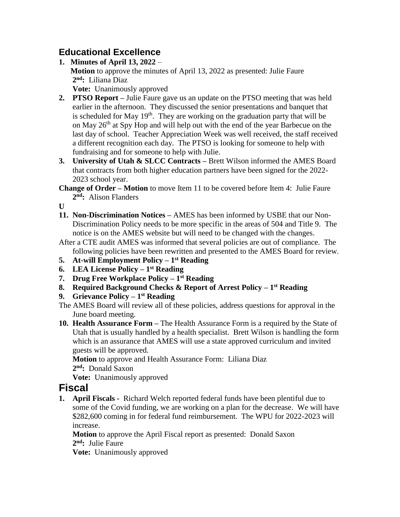## **Educational Excellence**

- **1. Minutes of April 13, 2022 Motion** to approve the minutes of April 13, 2022 as presented: Julie Faure **2 nd:** Liliana Diaz **Vote:** Unanimously approved
- **2. PTSO Report –** Julie Faure gave us an update on the PTSO meeting that was held earlier in the afternoon. They discussed the senior presentations and banquet that is scheduled for May  $19<sup>th</sup>$ . They are working on the graduation party that will be on May 26<sup>th</sup> at Spy Hop and will help out with the end of the year Barbecue on the last day of school. Teacher Appreciation Week was well received, the staff received a different recognition each day. The PTSO is looking for someone to help with fundraising and for someone to help with Julie.
- **3. University of Utah & SLCC Contracts –** Brett Wilson informed the AMES Board that contracts from both higher education partners have been signed for the 2022- 2023 school year.
- **Change of Order – Motion** to move Item 11 to be covered before Item 4: Julie Faure  **2 nd:** Alison Flanders

**U**

- **11. Non-Discrimination Notices –** AMES has been informed by USBE that our Non- Discrimination Policy needs to be more specific in the areas of 504 and Title 9. The notice is on the AMES website but will need to be changed with the changes.
- After a CTE audit AMES was informed that several policies are out of compliance. The following policies have been rewritten and presented to the AMES Board for review.
- **5. At-will Employment Policy – 1 st Reading**
- **6. LEA License Policy – 1 st Reading**
- **7. Drug Free Workplace Policy – 1 st Reading**
- **8. Required Background Checks & Report of Arrest Policy – 1 st Reading**
- **9. Grievance Policy – 1 st Reading**
- The AMES Board will review all of these policies, address questions for approval in the June board meeting.
- **10. Health Assurance Form –** The Health Assurance Form is a required by the State of Utah that is usually handled by a health specialist. Brett Wilson is handling the form which is an assurance that AMES will use a state approved curriculum and invited guests will be approved.

 **Motion** to approve and Health Assurance Form: Liliana Diaz **2 nd:** Donald Saxon

**Vote:** Unanimously approved

## **Fiscal**

**1. April Fiscals -** Richard Welch reported federal funds have been plentiful due to some of the Covid funding, we are working on a plan for the decrease. We will have \$282,600 coming in for federal fund reimbursement. The WPU for 2022-2023 will increase.

 **Motion** to approve the April Fiscal report as presented: Donald Saxon **2 nd:** Julie Faure

**Vote:** Unanimously approved